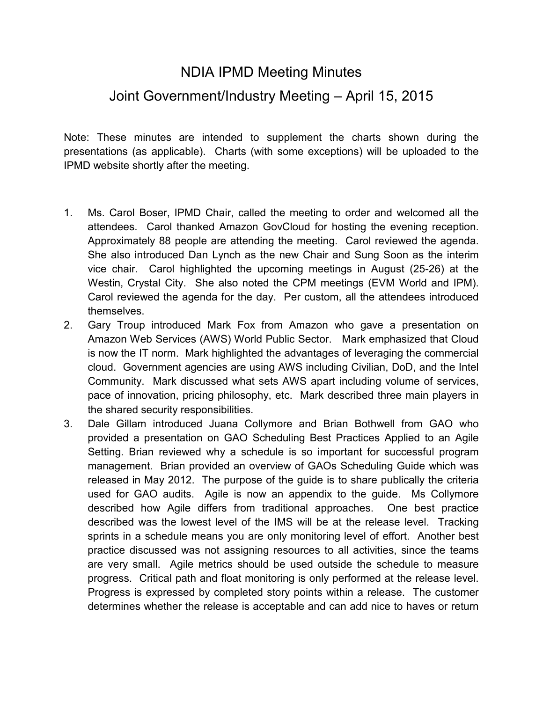## NDIA IPMD Meeting Minutes

## Joint Government/Industry Meeting – April 15, 2015

Note: These minutes are intended to supplement the charts shown during the presentations (as applicable). Charts (with some exceptions) will be uploaded to the IPMD website shortly after the meeting.

- 1. Ms. Carol Boser, IPMD Chair, called the meeting to order and welcomed all the attendees. Carol thanked Amazon GovCloud for hosting the evening reception. Approximately 88 people are attending the meeting. Carol reviewed the agenda. She also introduced Dan Lynch as the new Chair and Sung Soon as the interim vice chair. Carol highlighted the upcoming meetings in August (25-26) at the Westin, Crystal City. She also noted the CPM meetings (EVM World and IPM). Carol reviewed the agenda for the day. Per custom, all the attendees introduced themselves.
- 2. Gary Troup introduced Mark Fox from Amazon who gave a presentation on Amazon Web Services (AWS) World Public Sector. Mark emphasized that Cloud is now the IT norm. Mark highlighted the advantages of leveraging the commercial cloud. Government agencies are using AWS including Civilian, DoD, and the Intel Community. Mark discussed what sets AWS apart including volume of services, pace of innovation, pricing philosophy, etc. Mark described three main players in the shared security responsibilities.
- 3. Dale Gillam introduced Juana Collymore and Brian Bothwell from GAO who provided a presentation on GAO Scheduling Best Practices Applied to an Agile Setting. Brian reviewed why a schedule is so important for successful program management. Brian provided an overview of GAOs Scheduling Guide which was released in May 2012. The purpose of the guide is to share publically the criteria used for GAO audits. Agile is now an appendix to the guide. Ms Collymore described how Agile differs from traditional approaches. One best practice described was the lowest level of the IMS will be at the release level. Tracking sprints in a schedule means you are only monitoring level of effort. Another best practice discussed was not assigning resources to all activities, since the teams are very small. Agile metrics should be used outside the schedule to measure progress. Critical path and float monitoring is only performed at the release level. Progress is expressed by completed story points within a release. The customer determines whether the release is acceptable and can add nice to haves or return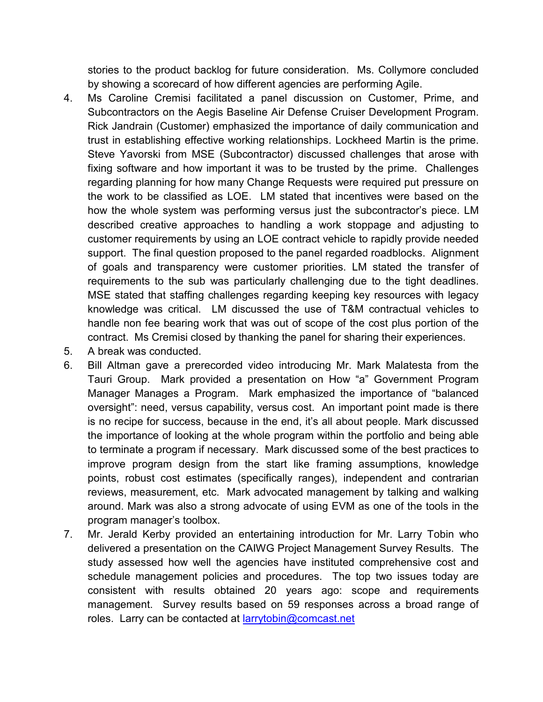stories to the product backlog for future consideration. Ms. Collymore concluded by showing a scorecard of how different agencies are performing Agile.

- 4. Ms Caroline Cremisi facilitated a panel discussion on Customer, Prime, and Subcontractors on the Aegis Baseline Air Defense Cruiser Development Program. Rick Jandrain (Customer) emphasized the importance of daily communication and trust in establishing effective working relationships. Lockheed Martin is the prime. Steve Yavorski from MSE (Subcontractor) discussed challenges that arose with fixing software and how important it was to be trusted by the prime. Challenges regarding planning for how many Change Requests were required put pressure on the work to be classified as LOE. LM stated that incentives were based on the how the whole system was performing versus just the subcontractor's piece. LM described creative approaches to handling a work stoppage and adjusting to customer requirements by using an LOE contract vehicle to rapidly provide needed support. The final question proposed to the panel regarded roadblocks. Alignment of goals and transparency were customer priorities. LM stated the transfer of requirements to the sub was particularly challenging due to the tight deadlines. MSE stated that staffing challenges regarding keeping key resources with legacy knowledge was critical. LM discussed the use of T&M contractual vehicles to handle non fee bearing work that was out of scope of the cost plus portion of the contract. Ms Cremisi closed by thanking the panel for sharing their experiences.
- 5. A break was conducted.
- 6. Bill Altman gave a prerecorded video introducing Mr. Mark Malatesta from the Tauri Group. Mark provided a presentation on How "a" Government Program Manager Manages a Program. Mark emphasized the importance of "balanced oversight": need, versus capability, versus cost. An important point made is there is no recipe for success, because in the end, it's all about people. Mark discussed the importance of looking at the whole program within the portfolio and being able to terminate a program if necessary. Mark discussed some of the best practices to improve program design from the start like framing assumptions, knowledge points, robust cost estimates (specifically ranges), independent and contrarian reviews, measurement, etc. Mark advocated management by talking and walking around. Mark was also a strong advocate of using EVM as one of the tools in the program manager's toolbox.
- 7. Mr. Jerald Kerby provided an entertaining introduction for Mr. Larry Tobin who delivered a presentation on the CAIWG Project Management Survey Results. The study assessed how well the agencies have instituted comprehensive cost and schedule management policies and procedures. The top two issues today are consistent with results obtained 20 years ago: scope and requirements management. Survey results based on 59 responses across a broad range of roles. Larry can be contacted at **larrytobin@comcast.net**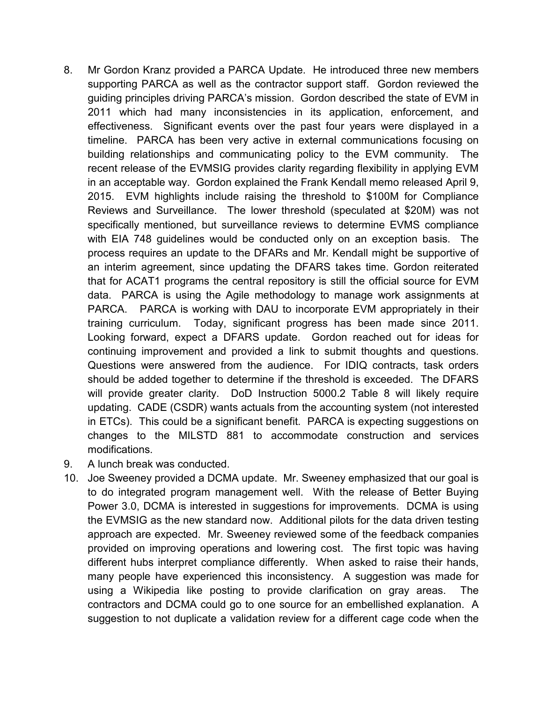- 8. Mr Gordon Kranz provided a PARCA Update. He introduced three new members supporting PARCA as well as the contractor support staff. Gordon reviewed the guiding principles driving PARCA's mission. Gordon described the state of EVM in 2011 which had many inconsistencies in its application, enforcement, and effectiveness. Significant events over the past four years were displayed in a timeline. PARCA has been very active in external communications focusing on building relationships and communicating policy to the EVM community. The recent release of the EVMSIG provides clarity regarding flexibility in applying EVM in an acceptable way. Gordon explained the Frank Kendall memo released April 9, 2015. EVM highlights include raising the threshold to \$100M for Compliance Reviews and Surveillance. The lower threshold (speculated at \$20M) was not specifically mentioned, but surveillance reviews to determine EVMS compliance with EIA 748 guidelines would be conducted only on an exception basis. The process requires an update to the DFARs and Mr. Kendall might be supportive of an interim agreement, since updating the DFARS takes time. Gordon reiterated that for ACAT1 programs the central repository is still the official source for EVM data. PARCA is using the Agile methodology to manage work assignments at PARCA. PARCA is working with DAU to incorporate EVM appropriately in their training curriculum. Today, significant progress has been made since 2011. Looking forward, expect a DFARS update. Gordon reached out for ideas for continuing improvement and provided a link to submit thoughts and questions. Questions were answered from the audience. For IDIQ contracts, task orders should be added together to determine if the threshold is exceeded. The DFARS will provide greater clarity. DoD Instruction 5000.2 Table 8 will likely require updating. CADE (CSDR) wants actuals from the accounting system (not interested in ETCs). This could be a significant benefit. PARCA is expecting suggestions on changes to the MILSTD 881 to accommodate construction and services modifications.
- 9. A lunch break was conducted.
- 10. Joe Sweeney provided a DCMA update. Mr. Sweeney emphasized that our goal is to do integrated program management well. With the release of Better Buying Power 3.0, DCMA is interested in suggestions for improvements. DCMA is using the EVMSIG as the new standard now. Additional pilots for the data driven testing approach are expected. Mr. Sweeney reviewed some of the feedback companies provided on improving operations and lowering cost. The first topic was having different hubs interpret compliance differently. When asked to raise their hands, many people have experienced this inconsistency. A suggestion was made for using a Wikipedia like posting to provide clarification on gray areas. The contractors and DCMA could go to one source for an embellished explanation. A suggestion to not duplicate a validation review for a different cage code when the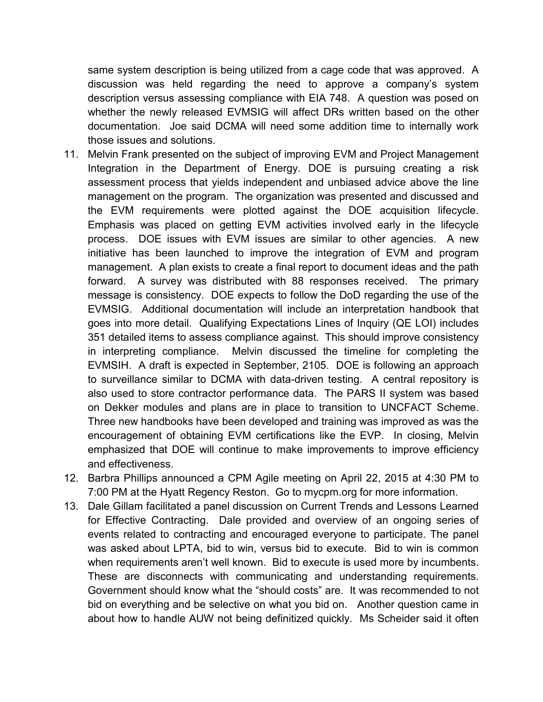same system description is being utilized from a cage code that was approved. A discussion was held regarding the need to approve a company's system description versus assessing compliance with EIA 748. A question was posed on whether the newly released EVMSIG will affect DRs written based on the other documentation. Joe said DCMA will need some addition time to internally work those issues and solutions.

- 11. Melvin Frank presented on the subject of improving EVM and Project Management Integration in the Department of Energy. DOE is pursuing creating a risk assessment process that yields independent and unbiased advice above the line management on the program. The organization was presented and discussed and the EVM requirements were plotted against the DOE acquisition lifecycle. Emphasis was placed on getting EVM activities involved early in the lifecycle process. DOE issues with EVM issues are similar to other agencies. A new initiative has been launched to improve the integration of EVM and program management. A plan exists to create a final report to document ideas and the path forward. A survey was distributed with 88 responses received. The primary message is consistency. DOE expects to follow the DoD regarding the use of the EVMSIG. Additional documentation will include an interpretation handbook that goes into more detail. Qualifying Expectations Lines of Inquiry (QE LOI) includes 351 detailed items to assess compliance against. This should improve consistency in interpreting compliance. Melvin discussed the timeline for completing the EVMSIH. A draft is expected in September, 2105. DOE is following an approach to surveillance similar to DCMA with data-driven testing. A central repository is also used to store contractor performance data. The PARS II system was based on Dekker modules and plans are in place to transition to UNCFACT Scheme. Three new handbooks have been developed and training was improved as was the encouragement of obtaining EVM certifications like the EVP. In closing, Melvin emphasized that DOE will continue to make improvements to improve efficiency and effectiveness.
- 12. Barbra Phillips announced a CPM Agile meeting on April 22, 2015 at 4:30 PM to 7:00 PM at the Hyatt Regency Reston. Go to mycpm.org for more information.
- 13. Dale Gillam facilitated a panel discussion on Current Trends and Lessons Learned for Effective Contracting. Dale provided and overview of an ongoing series of events related to contracting and encouraged everyone to participate. The panel was asked about LPTA, bid to win, versus bid to execute. Bid to win is common when requirements aren't well known. Bid to execute is used more by incumbents. These are disconnects with communicating and understanding requirements. Government should know what the "should costs" are. It was recommended to not bid on everything and be selective on what you bid on. Another question came in about how to handle AUW not being definitized quickly. Ms Scheider said it often